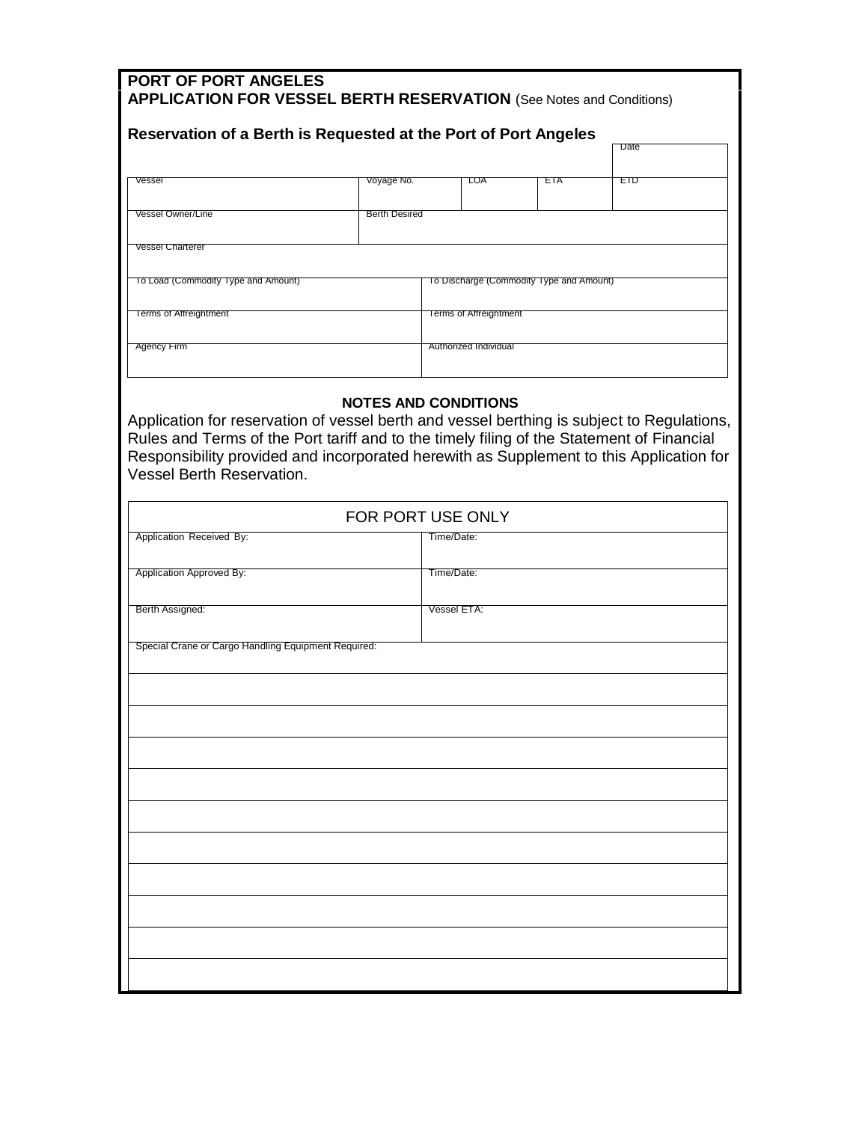| Reservation of a Berth is Requested at the Port of Port Angeles                          |               |                                          |     | Date |  |
|------------------------------------------------------------------------------------------|---------------|------------------------------------------|-----|------|--|
| Vessel                                                                                   | Voyage No.    | LOA                                      | ETA | EID  |  |
| <b>Vessel Owner/Line</b>                                                                 | Berth Desired |                                          |     |      |  |
|                                                                                          |               |                                          |     |      |  |
|                                                                                          |               |                                          |     |      |  |
|                                                                                          |               | To Discharge (Commodity Type and Amount) |     |      |  |
| <b>Vessel Charterer</b><br>To Load (Commodity Type and Amount)<br>Terms of Affreightment |               | Terms of Affreightment                   |     |      |  |
| Agency Firm                                                                              |               | Authorized Individual                    |     |      |  |

Vessel Berth Reservation.

| FOR PORT USE ONLY                                   |             |  |  |  |
|-----------------------------------------------------|-------------|--|--|--|
| Application Received By:                            | Time/Date:  |  |  |  |
| Application Approved By:                            | Time/Date:  |  |  |  |
| Berth Assigned:                                     | Vessel ETA: |  |  |  |
| Special Crane or Cargo Handling Equipment Required: |             |  |  |  |
|                                                     |             |  |  |  |
|                                                     |             |  |  |  |
|                                                     |             |  |  |  |
|                                                     |             |  |  |  |
|                                                     |             |  |  |  |
|                                                     |             |  |  |  |
|                                                     |             |  |  |  |
|                                                     |             |  |  |  |
|                                                     |             |  |  |  |
|                                                     |             |  |  |  |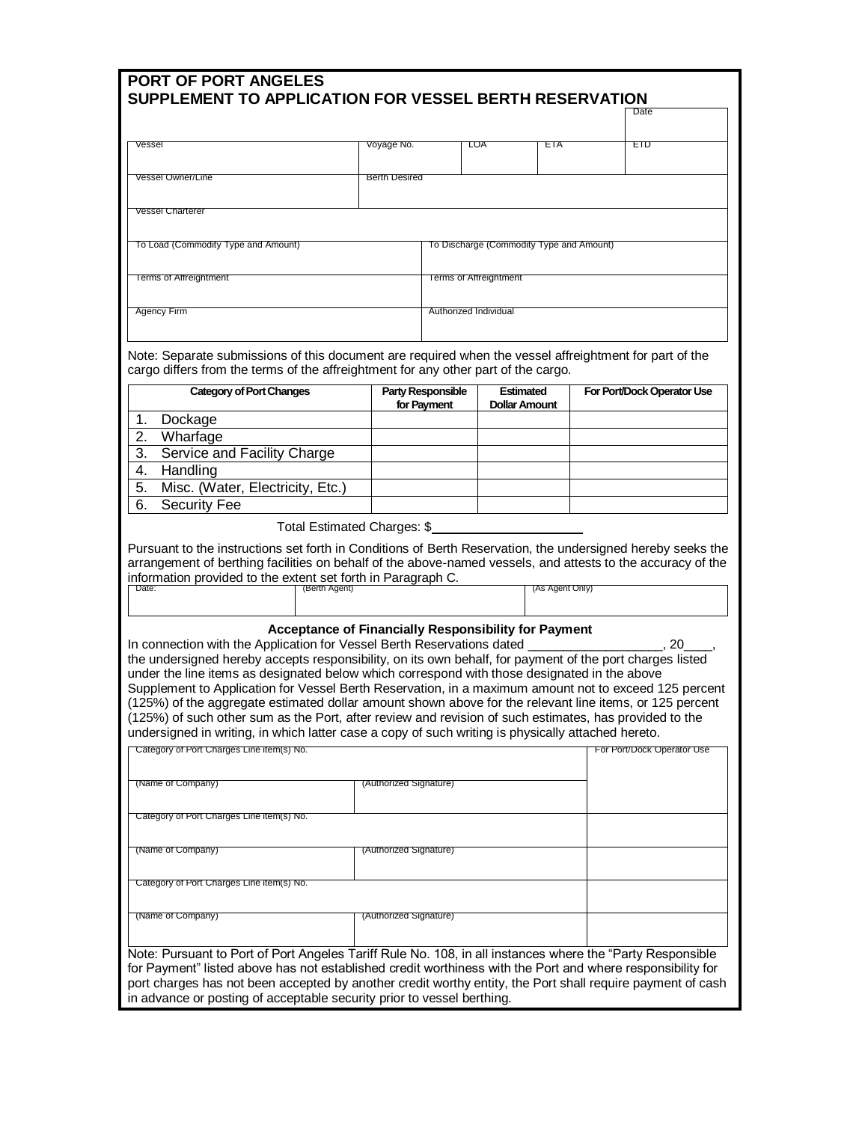| <b>PORT OF PORT ANGELES</b>                                                                                                                                                                                                                                                                                                             |                        |                                          |                                          |     |  |                            |  |  |
|-----------------------------------------------------------------------------------------------------------------------------------------------------------------------------------------------------------------------------------------------------------------------------------------------------------------------------------------|------------------------|------------------------------------------|------------------------------------------|-----|--|----------------------------|--|--|
| SUPPLEMENT TO APPLICATION FOR VESSEL BERTH RESERVATION                                                                                                                                                                                                                                                                                  |                        |                                          |                                          |     |  |                            |  |  |
|                                                                                                                                                                                                                                                                                                                                         |                        |                                          |                                          |     |  | Date                       |  |  |
| Vessel                                                                                                                                                                                                                                                                                                                                  | Voyage No.             |                                          | LOA                                      | ETA |  | EID                        |  |  |
|                                                                                                                                                                                                                                                                                                                                         |                        |                                          |                                          |     |  |                            |  |  |
| <b>Vessel Owner/Line</b>                                                                                                                                                                                                                                                                                                                | <b>Berth Desired</b>   |                                          |                                          |     |  |                            |  |  |
|                                                                                                                                                                                                                                                                                                                                         |                        |                                          |                                          |     |  |                            |  |  |
| <b>Vessel Charterer</b>                                                                                                                                                                                                                                                                                                                 |                        |                                          |                                          |     |  |                            |  |  |
|                                                                                                                                                                                                                                                                                                                                         |                        |                                          |                                          |     |  |                            |  |  |
| To Load (Commodity Type and Amount)                                                                                                                                                                                                                                                                                                     |                        | To Discharge (Commodity Type and Amount) |                                          |     |  |                            |  |  |
| <b>Terms of Affreightment</b>                                                                                                                                                                                                                                                                                                           |                        | <b>Terms of Affreightment</b>            |                                          |     |  |                            |  |  |
|                                                                                                                                                                                                                                                                                                                                         |                        |                                          |                                          |     |  |                            |  |  |
| Agency Firm                                                                                                                                                                                                                                                                                                                             |                        | Authorized Individual                    |                                          |     |  |                            |  |  |
|                                                                                                                                                                                                                                                                                                                                         |                        |                                          |                                          |     |  |                            |  |  |
|                                                                                                                                                                                                                                                                                                                                         |                        |                                          |                                          |     |  |                            |  |  |
| Note: Separate submissions of this document are required when the vessel affreightment for part of the<br>cargo differs from the terms of the affreightment for any other part of the cargo.                                                                                                                                            |                        |                                          |                                          |     |  |                            |  |  |
|                                                                                                                                                                                                                                                                                                                                         |                        |                                          |                                          |     |  |                            |  |  |
| <b>Category of Port Changes</b>                                                                                                                                                                                                                                                                                                         |                        | <b>Party Responsible</b><br>for Payment  | <b>Estimated</b><br><b>Dollar Amount</b> |     |  | For Port/Dock Operator Use |  |  |
| Dockage<br>1.                                                                                                                                                                                                                                                                                                                           |                        |                                          |                                          |     |  |                            |  |  |
| Wharfage<br>2.                                                                                                                                                                                                                                                                                                                          |                        |                                          |                                          |     |  |                            |  |  |
| 3.<br>Service and Facility Charge                                                                                                                                                                                                                                                                                                       |                        |                                          |                                          |     |  |                            |  |  |
| 4.<br>Handling                                                                                                                                                                                                                                                                                                                          |                        |                                          |                                          |     |  |                            |  |  |
| Misc. (Water, Electricity, Etc.)<br>5.                                                                                                                                                                                                                                                                                                  |                        |                                          |                                          |     |  |                            |  |  |
| 6.<br><b>Security Fee</b>                                                                                                                                                                                                                                                                                                               |                        |                                          |                                          |     |  |                            |  |  |
| Pursuant to the instructions set forth in Conditions of Berth Reservation, the undersigned hereby seeks the<br>arrangement of berthing facilities on behalf of the above-named vessels, and attests to the accuracy of the<br>information provided to the extent set forth in Paragraph C.<br>(As Agent Only)<br>Date:<br>(Berth Agent) |                        |                                          |                                          |     |  |                            |  |  |
|                                                                                                                                                                                                                                                                                                                                         |                        |                                          |                                          |     |  |                            |  |  |
| Acceptance of Financially Responsibility for Payment                                                                                                                                                                                                                                                                                    |                        |                                          |                                          |     |  |                            |  |  |
| In connection with the Application for Vessel Berth Reservations dated                                                                                                                                                                                                                                                                  |                        |                                          |                                          |     |  | 20                         |  |  |
| the undersigned hereby accepts responsibility, on its own behalf, for payment of the port charges listed<br>under the line items as designated below which correspond with those designated in the above                                                                                                                                |                        |                                          |                                          |     |  |                            |  |  |
| Supplement to Application for Vessel Berth Reservation, in a maximum amount not to exceed 125 percent                                                                                                                                                                                                                                   |                        |                                          |                                          |     |  |                            |  |  |
| (125%) of the aggregate estimated dollar amount shown above for the relevant line items, or 125 percent                                                                                                                                                                                                                                 |                        |                                          |                                          |     |  |                            |  |  |
| (125%) of such other sum as the Port, after review and revision of such estimates, has provided to the                                                                                                                                                                                                                                  |                        |                                          |                                          |     |  |                            |  |  |
| undersigned in writing, in which latter case a copy of such writing is physically attached hereto.<br>Category of Port Charges Line item(s) No.                                                                                                                                                                                         |                        |                                          |                                          |     |  | For Port/Dock Operator Use |  |  |
|                                                                                                                                                                                                                                                                                                                                         |                        |                                          |                                          |     |  |                            |  |  |
| (Name of Company)                                                                                                                                                                                                                                                                                                                       | (Authorized Signature) |                                          |                                          |     |  |                            |  |  |
|                                                                                                                                                                                                                                                                                                                                         |                        |                                          |                                          |     |  |                            |  |  |
| Category of Port Charges Line item(s) No.                                                                                                                                                                                                                                                                                               |                        |                                          |                                          |     |  |                            |  |  |
|                                                                                                                                                                                                                                                                                                                                         |                        |                                          |                                          |     |  |                            |  |  |
| (Name of Company)                                                                                                                                                                                                                                                                                                                       | (Authorized Signature) |                                          |                                          |     |  |                            |  |  |
|                                                                                                                                                                                                                                                                                                                                         |                        |                                          |                                          |     |  |                            |  |  |
| Category of Port Charges Line item(s) No.                                                                                                                                                                                                                                                                                               |                        |                                          |                                          |     |  |                            |  |  |
| (Name of Company)                                                                                                                                                                                                                                                                                                                       | (Authorized Signature) |                                          |                                          |     |  |                            |  |  |
|                                                                                                                                                                                                                                                                                                                                         |                        |                                          |                                          |     |  |                            |  |  |
| Note: Pursuant to Port of Port Angeles Tariff Rule No. 108, in all instances where the "Party Responsible                                                                                                                                                                                                                               |                        |                                          |                                          |     |  |                            |  |  |
| for Payment" listed above has not established credit worthiness with the Port and where responsibility for                                                                                                                                                                                                                              |                        |                                          |                                          |     |  |                            |  |  |
| port charges has not been accepted by another credit worthy entity, the Port shall require payment of cash                                                                                                                                                                                                                              |                        |                                          |                                          |     |  |                            |  |  |
| in advance or posting of acceptable security prior to vessel berthing.                                                                                                                                                                                                                                                                  |                        |                                          |                                          |     |  |                            |  |  |